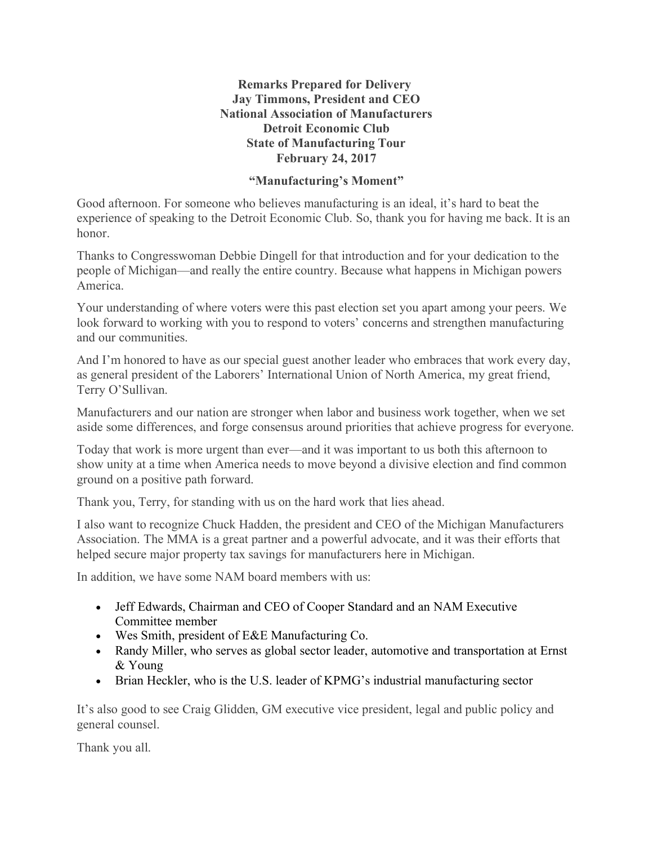## **Remarks Prepared for Delivery Jay Timmons, President and CEO National Association of Manufacturers Detroit Economic Club State of Manufacturing Tour February 24, 2017**

## **"Manufacturing's Moment"**

Good afternoon. For someone who believes manufacturing is an ideal, it's hard to beat the experience of speaking to the Detroit Economic Club. So, thank you for having me back. It is an honor.

Thanks to Congresswoman Debbie Dingell for that introduction and for your dedication to the people of Michigan—and really the entire country. Because what happens in Michigan powers America.

Your understanding of where voters were this past election set you apart among your peers. We look forward to working with you to respond to voters' concerns and strengthen manufacturing and our communities.

And I'm honored to have as our special guest another leader who embraces that work every day, as general president of the Laborers' International Union of North America, my great friend, Terry O'Sullivan.

Manufacturers and our nation are stronger when labor and business work together, when we set aside some differences, and forge consensus around priorities that achieve progress for everyone.

Today that work is more urgent than ever—and it was important to us both this afternoon to show unity at a time when America needs to move beyond a divisive election and find common ground on a positive path forward.

Thank you, Terry, for standing with us on the hard work that lies ahead.

I also want to recognize Chuck Hadden, the president and CEO of the Michigan Manufacturers Association. The MMA is a great partner and a powerful advocate, and it was their efforts that helped secure major property tax savings for manufacturers here in Michigan.

In addition, we have some NAM board members with us:

- Jeff Edwards, Chairman and CEO of Cooper Standard and an NAM Executive Committee member
- Wes Smith, president of E&E Manufacturing Co.
- Randy Miller, who serves as global sector leader, automotive and transportation at Ernst & Young
- Brian Heckler, who is the U.S. leader of KPMG's industrial manufacturing sector

It's also good to see Craig Glidden, GM executive vice president, legal and public policy and general counsel.

Thank you all.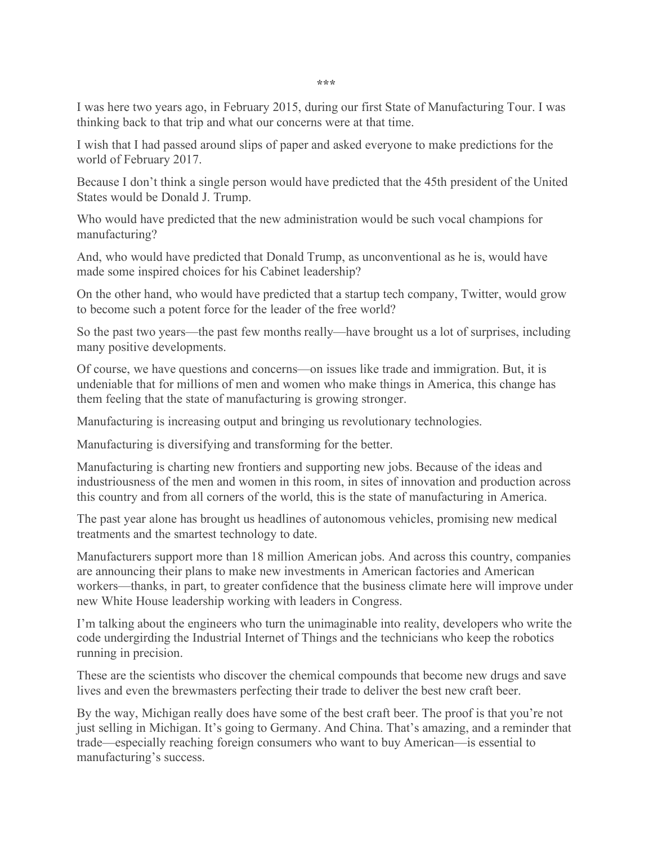**\*\*\***

I was here two years ago, in February 2015, during our first State of Manufacturing Tour. I was thinking back to that trip and what our concerns were at that time.

I wish that I had passed around slips of paper and asked everyone to make predictions for the world of February 2017.

Because I don't think a single person would have predicted that the 45th president of the United States would be Donald J. Trump.

Who would have predicted that the new administration would be such vocal champions for manufacturing?

And, who would have predicted that Donald Trump, as unconventional as he is, would have made some inspired choices for his Cabinet leadership?

On the other hand, who would have predicted that a startup tech company, Twitter, would grow to become such a potent force for the leader of the free world?

So the past two years—the past few months really—have brought us a lot of surprises, including many positive developments.

Of course, we have questions and concerns—on issues like trade and immigration. But, it is undeniable that for millions of men and women who make things in America, this change has them feeling that the state of manufacturing is growing stronger.

Manufacturing is increasing output and bringing us revolutionary technologies.

Manufacturing is diversifying and transforming for the better.

Manufacturing is charting new frontiers and supporting new jobs. Because of the ideas and industriousness of the men and women in this room, in sites of innovation and production across this country and from all corners of the world, this is the state of manufacturing in America.

The past year alone has brought us headlines of autonomous vehicles, promising new medical treatments and the smartest technology to date.

Manufacturers support more than 18 million American jobs. And across this country, companies are announcing their plans to make new investments in American factories and American workers—thanks, in part, to greater confidence that the business climate here will improve under new White House leadership working with leaders in Congress.

I'm talking about the engineers who turn the unimaginable into reality, developers who write the code undergirding the Industrial Internet of Things and the technicians who keep the robotics running in precision.

These are the scientists who discover the chemical compounds that become new drugs and save lives and even the brewmasters perfecting their trade to deliver the best new craft beer.

By the way, Michigan really does have some of the best craft beer. The proof is that you're not just selling in Michigan. It's going to Germany. And China. That's amazing, and a reminder that trade—especially reaching foreign consumers who want to buy American—is essential to manufacturing's success.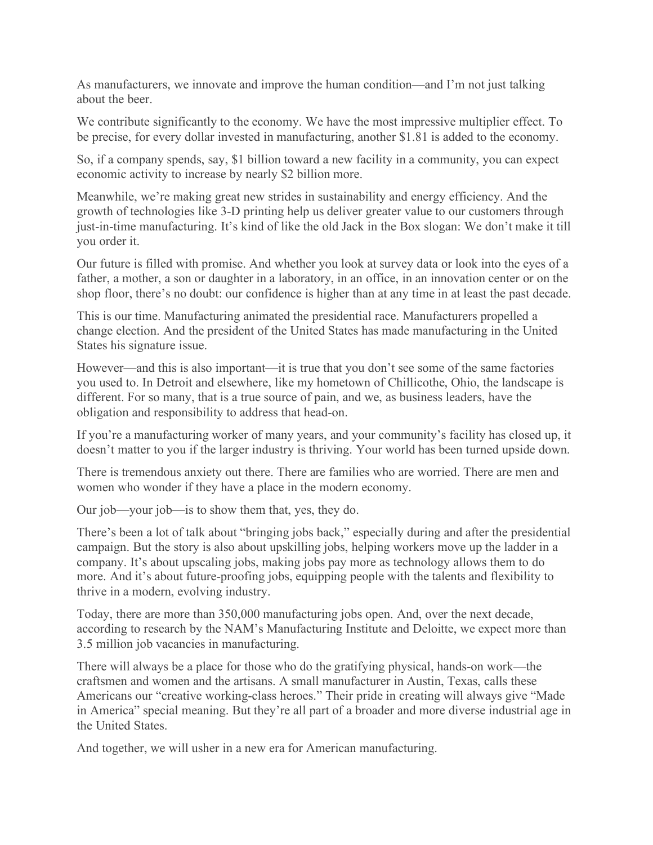As manufacturers, we innovate and improve the human condition—and I'm not just talking about the beer.

We contribute significantly to the economy. We have the most impressive multiplier effect. To be precise, for every dollar invested in manufacturing, another \$1.81 is added to the economy.

So, if a company spends, say, \$1 billion toward a new facility in a community, you can expect economic activity to increase by nearly \$2 billion more.

Meanwhile, we're making great new strides in sustainability and energy efficiency. And the growth of technologies like 3-D printing help us deliver greater value to our customers through just-in-time manufacturing. It's kind of like the old Jack in the Box slogan: We don't make it till you order it.

Our future is filled with promise. And whether you look at survey data or look into the eyes of a father, a mother, a son or daughter in a laboratory, in an office, in an innovation center or on the shop floor, there's no doubt: our confidence is higher than at any time in at least the past decade.

This is our time. Manufacturing animated the presidential race. Manufacturers propelled a change election. And the president of the United States has made manufacturing in the United States his signature issue.

However—and this is also important—it is true that you don't see some of the same factories you used to. In Detroit and elsewhere, like my hometown of Chillicothe, Ohio, the landscape is different. For so many, that is a true source of pain, and we, as business leaders, have the obligation and responsibility to address that head-on.

If you're a manufacturing worker of many years, and your community's facility has closed up, it doesn't matter to you if the larger industry is thriving. Your world has been turned upside down.

There is tremendous anxiety out there. There are families who are worried. There are men and women who wonder if they have a place in the modern economy.

Our job—your job—is to show them that, yes, they do.

There's been a lot of talk about "bringing jobs back," especially during and after the presidential campaign. But the story is also about upskilling jobs, helping workers move up the ladder in a company. It's about upscaling jobs, making jobs pay more as technology allows them to do more. And it's about future-proofing jobs, equipping people with the talents and flexibility to thrive in a modern, evolving industry.

Today, there are more than 350,000 manufacturing jobs open. And, over the next decade, according to research by the NAM's Manufacturing Institute and Deloitte, we expect more than 3.5 million job vacancies in manufacturing.

There will always be a place for those who do the gratifying physical, hands-on work—the craftsmen and women and the artisans. A small manufacturer in Austin, Texas, calls these Americans our "creative working-class heroes." Their pride in creating will always give "Made in America" special meaning. But they're all part of a broader and more diverse industrial age in the United States.

And together, we will usher in a new era for American manufacturing.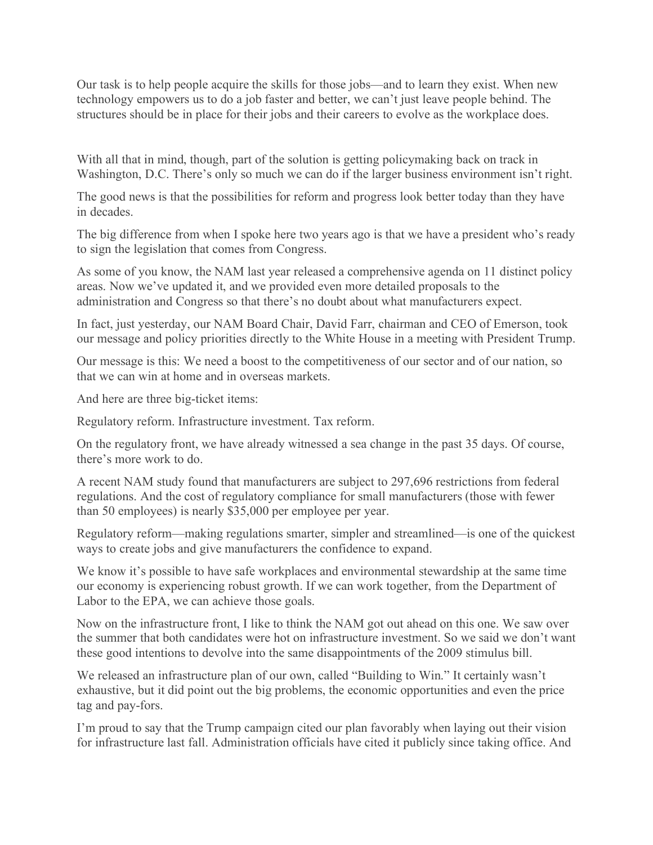Our task is to help people acquire the skills for those jobs—and to learn they exist. When new technology empowers us to do a job faster and better, we can't just leave people behind. The structures should be in place for their jobs and their careers to evolve as the workplace does.

With all that in mind, though, part of the solution is getting policymaking back on track in Washington, D.C. There's only so much we can do if the larger business environment isn't right.

The good news is that the possibilities for reform and progress look better today than they have in decades.

The big difference from when I spoke here two years ago is that we have a president who's ready to sign the legislation that comes from Congress.

As some of you know, the NAM last year released a comprehensive agenda on 11 distinct policy areas. Now we've updated it, and we provided even more detailed proposals to the administration and Congress so that there's no doubt about what manufacturers expect.

In fact, just yesterday, our NAM Board Chair, David Farr, chairman and CEO of Emerson, took our message and policy priorities directly to the White House in a meeting with President Trump.

Our message is this: We need a boost to the competitiveness of our sector and of our nation, so that we can win at home and in overseas markets.

And here are three big-ticket items:

Regulatory reform. Infrastructure investment. Tax reform.

On the regulatory front, we have already witnessed a sea change in the past 35 days. Of course, there's more work to do.

A recent NAM study found that manufacturers are subject to 297,696 restrictions from federal regulations. And the cost of regulatory compliance for small manufacturers (those with fewer than 50 employees) is nearly \$35,000 per employee per year.

Regulatory reform—making regulations smarter, simpler and streamlined—is one of the quickest ways to create jobs and give manufacturers the confidence to expand.

We know it's possible to have safe workplaces and environmental stewardship at the same time our economy is experiencing robust growth. If we can work together, from the Department of Labor to the EPA, we can achieve those goals.

Now on the infrastructure front, I like to think the NAM got out ahead on this one. We saw over the summer that both candidates were hot on infrastructure investment. So we said we don't want these good intentions to devolve into the same disappointments of the 2009 stimulus bill.

We released an infrastructure plan of our own, called "Building to Win." It certainly wasn't exhaustive, but it did point out the big problems, the economic opportunities and even the price tag and pay-fors.

I'm proud to say that the Trump campaign cited our plan favorably when laying out their vision for infrastructure last fall. Administration officials have cited it publicly since taking office. And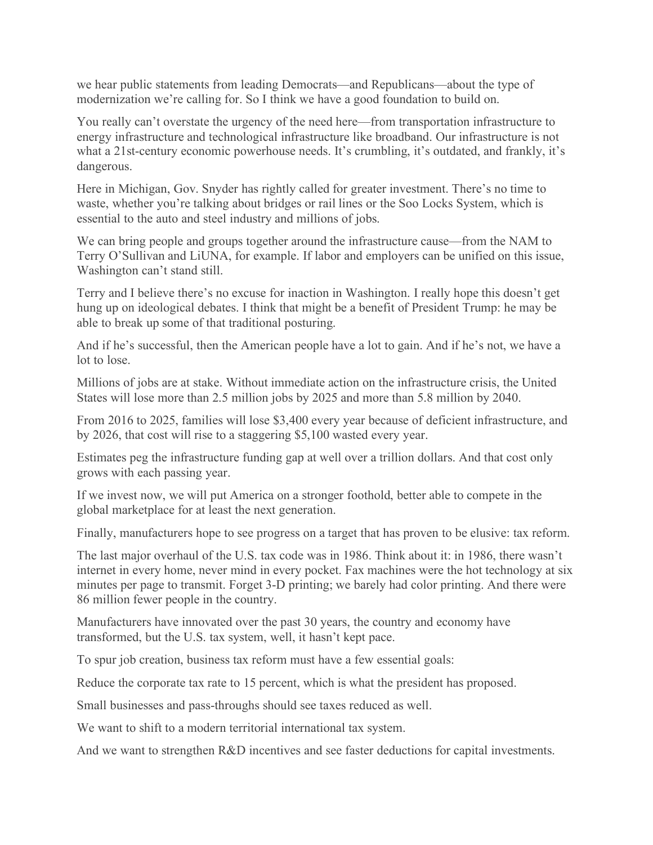we hear public statements from leading Democrats—and Republicans—about the type of modernization we're calling for. So I think we have a good foundation to build on.

You really can't overstate the urgency of the need here—from transportation infrastructure to energy infrastructure and technological infrastructure like broadband. Our infrastructure is not what a 21st-century economic powerhouse needs. It's crumbling, it's outdated, and frankly, it's dangerous.

Here in Michigan, Gov. Snyder has rightly called for greater investment. There's no time to waste, whether you're talking about bridges or rail lines or the Soo Locks System, which is essential to the auto and steel industry and millions of jobs.

We can bring people and groups together around the infrastructure cause—from the NAM to Terry O'Sullivan and LiUNA, for example. If labor and employers can be unified on this issue, Washington can't stand still.

Terry and I believe there's no excuse for inaction in Washington. I really hope this doesn't get hung up on ideological debates. I think that might be a benefit of President Trump: he may be able to break up some of that traditional posturing.

And if he's successful, then the American people have a lot to gain. And if he's not, we have a lot to lose.

Millions of jobs are at stake. Without immediate action on the infrastructure crisis, the United States will lose more than 2.5 million jobs by 2025 and more than 5.8 million by 2040.

From 2016 to 2025, families will lose \$3,400 every year because of deficient infrastructure, and by 2026, that cost will rise to a staggering \$5,100 wasted every year.

Estimates peg the infrastructure funding gap at well over a trillion dollars. And that cost only grows with each passing year.

If we invest now, we will put America on a stronger foothold, better able to compete in the global marketplace for at least the next generation.

Finally, manufacturers hope to see progress on a target that has proven to be elusive: tax reform.

The last major overhaul of the U.S. tax code was in 1986. Think about it: in 1986, there wasn't internet in every home, never mind in every pocket. Fax machines were the hot technology at six minutes per page to transmit. Forget 3-D printing; we barely had color printing. And there were 86 million fewer people in the country.

Manufacturers have innovated over the past 30 years, the country and economy have transformed, but the U.S. tax system, well, it hasn't kept pace.

To spur job creation, business tax reform must have a few essential goals:

Reduce the corporate tax rate to 15 percent, which is what the president has proposed.

Small businesses and pass-throughs should see taxes reduced as well.

We want to shift to a modern territorial international tax system.

And we want to strengthen R&D incentives and see faster deductions for capital investments.